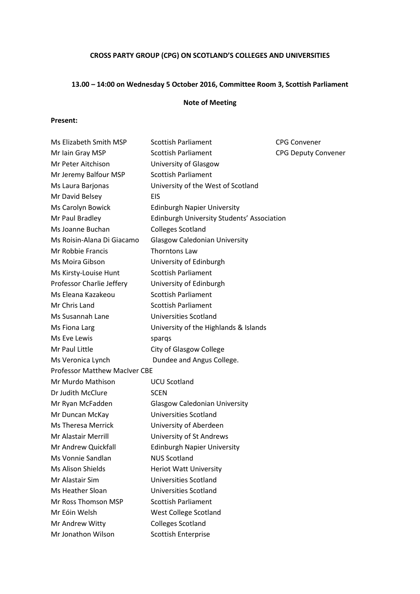# **CROSS PARTY GROUP (CPG) ON SCOTLAND'S COLLEGES AND UNIVERSITIES**

# **13.00 – 14:00 on Wednesday 5 October 2016, Committee Room 3, Scottish Parliament**

#### **Note of Meeting**

### **Present:**

| Ms Elizabeth Smith MSP               | <b>Scottish Parliament</b>                        | <b>CPG Convener</b>        |
|--------------------------------------|---------------------------------------------------|----------------------------|
| Mr Iain Gray MSP                     | <b>Scottish Parliament</b>                        | <b>CPG Deputy Convener</b> |
| Mr Peter Aitchison                   | University of Glasgow                             |                            |
| Mr Jeremy Balfour MSP                | <b>Scottish Parliament</b>                        |                            |
| Ms Laura Barjonas                    | University of the West of Scotland                |                            |
| Mr David Belsey                      | <b>EIS</b>                                        |                            |
| Ms Carolyn Bowick                    | <b>Edinburgh Napier University</b>                |                            |
| Mr Paul Bradley                      | <b>Edinburgh University Students' Association</b> |                            |
| Ms Joanne Buchan                     | <b>Colleges Scotland</b>                          |                            |
| Ms Roisin-Alana Di Giacamo           | <b>Glasgow Caledonian University</b>              |                            |
| Mr Robbie Francis                    | Thorntons Law                                     |                            |
| Ms Moira Gibson                      | University of Edinburgh                           |                            |
| Ms Kirsty-Louise Hunt                | <b>Scottish Parliament</b>                        |                            |
| Professor Charlie Jeffery            | University of Edinburgh                           |                            |
| Ms Eleana Kazakeou                   | <b>Scottish Parliament</b>                        |                            |
| Mr Chris Land                        | <b>Scottish Parliament</b>                        |                            |
| Ms Susannah Lane                     | Universities Scotland                             |                            |
| Ms Fiona Larg                        | University of the Highlands & Islands             |                            |
| Ms Eve Lewis                         | spargs                                            |                            |
| Mr Paul Little                       | City of Glasgow College                           |                            |
| Ms Veronica Lynch                    | Dundee and Angus College.                         |                            |
| <b>Professor Matthew MacIver CBE</b> |                                                   |                            |
| Mr Murdo Mathison                    | <b>UCU Scotland</b>                               |                            |
| Dr Judith McClure                    | <b>SCEN</b>                                       |                            |
| Mr Ryan McFadden                     | <b>Glasgow Caledonian University</b>              |                            |
| Mr Duncan McKay                      | <b>Universities Scotland</b>                      |                            |
| Ms Theresa Merrick                   | University of Aberdeen                            |                            |
| Mr Alastair Merrill                  | University of St Andrews                          |                            |
| Mr Andrew Quickfall                  | <b>Edinburgh Napier University</b>                |                            |
| Ms Vonnie Sandlan                    | <b>NUS Scotland</b>                               |                            |
| Ms Alison Shields                    | <b>Heriot Watt University</b>                     |                            |
| Mr Alastair Sim                      | Universities Scotland                             |                            |
| Ms Heather Sloan                     | Universities Scotland                             |                            |
| Mr Ross Thomson MSP                  | <b>Scottish Parliament</b>                        |                            |
| Mr Eóin Welsh                        | West College Scotland                             |                            |
| Mr Andrew Witty                      | <b>Colleges Scotland</b>                          |                            |
| Mr Jonathon Wilson                   | Scottish Enterprise                               |                            |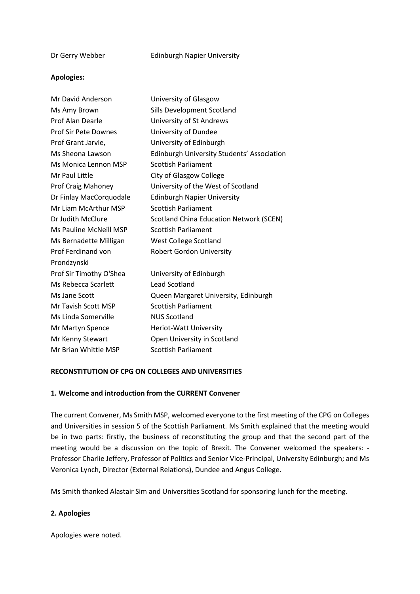#### **Apologies:**

| Mr David Anderson           | University of Glasgow                          |  |
|-----------------------------|------------------------------------------------|--|
| Ms Amy Brown                | Sills Development Scotland                     |  |
| Prof Alan Dearle            | University of St Andrews                       |  |
| <b>Prof Sir Pete Downes</b> | University of Dundee                           |  |
| Prof Grant Jarvie,          | University of Edinburgh                        |  |
| Ms Sheona Lawson            | Edinburgh University Students' Association     |  |
| Ms Monica Lennon MSP        | <b>Scottish Parliament</b>                     |  |
| Mr Paul Little              | City of Glasgow College                        |  |
| Prof Craig Mahoney          | University of the West of Scotland             |  |
| Dr Finlay MacCorquodale     | <b>Edinburgh Napier University</b>             |  |
| Mr Liam McArthur MSP        | <b>Scottish Parliament</b>                     |  |
| Dr Judith McClure           | <b>Scotland China Education Network (SCEN)</b> |  |
| Ms Pauline McNeill MSP      | <b>Scottish Parliament</b>                     |  |
| Ms Bernadette Milligan      | West College Scotland                          |  |
| <b>Prof Ferdinand von</b>   | <b>Robert Gordon University</b>                |  |
| Prondzynski                 |                                                |  |
| Prof Sir Timothy O'Shea     | University of Edinburgh                        |  |
| Ms Rebecca Scarlett         | <b>Lead Scotland</b>                           |  |
| Ms Jane Scott               | Queen Margaret University, Edinburgh           |  |
| Mr Tavish Scott MSP         | <b>Scottish Parliament</b>                     |  |
| Ms Linda Somerville         | <b>NUS Scotland</b>                            |  |
| Mr Martyn Spence            | Heriot-Watt University                         |  |
| Mr Kenny Stewart            | Open University in Scotland                    |  |
| Mr Brian Whittle MSP        | <b>Scottish Parliament</b>                     |  |

## **RECONSTITUTION OF CPG ON COLLEGES AND UNIVERSITIES**

#### **1. Welcome and introduction from the CURRENT Convener**

The current Convener, Ms Smith MSP, welcomed everyone to the first meeting of the CPG on Colleges and Universities in session 5 of the Scottish Parliament. Ms Smith explained that the meeting would be in two parts: firstly, the business of reconstituting the group and that the second part of the meeting would be a discussion on the topic of Brexit. The Convener welcomed the speakers: - Professor Charlie Jeffery, Professor of Politics and Senior Vice-Principal, University Edinburgh; and Ms Veronica Lynch, Director (External Relations), Dundee and Angus College.

Ms Smith thanked Alastair Sim and Universities Scotland for sponsoring lunch for the meeting.

## **2. Apologies**

Apologies were noted.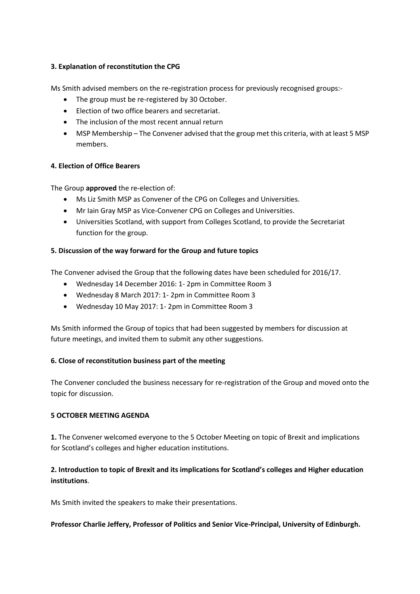## **3. Explanation of reconstitution the CPG**

Ms Smith advised members on the re-registration process for previously recognised groups:-

- The group must be re-registered by 30 October.
- Election of two office bearers and secretariat.
- The inclusion of the most recent annual return
- MSP Membership The Convener advised that the group met this criteria, with at least 5 MSP members.

#### **4. Election of Office Bearers**

The Group **approved** the re-election of:

- Ms Liz Smith MSP as Convener of the CPG on Colleges and Universities.
- Mr Iain Gray MSP as Vice-Convener CPG on Colleges and Universities.
- Universities Scotland, with support from Colleges Scotland, to provide the Secretariat function for the group.

#### **5. Discussion of the way forward for the Group and future topics**

The Convener advised the Group that the following dates have been scheduled for 2016/17.

- Wednesday 14 December 2016: 1- 2pm in Committee Room 3
- Wednesday 8 March 2017: 1- 2pm in Committee Room 3
- Wednesday 10 May 2017: 1- 2pm in Committee Room 3

Ms Smith informed the Group of topics that had been suggested by members for discussion at future meetings, and invited them to submit any other suggestions.

## **6. Close of reconstitution business part of the meeting**

The Convener concluded the business necessary for re-registration of the Group and moved onto the topic for discussion.

#### **5 OCTOBER MEETING AGENDA**

**1.** The Convener welcomed everyone to the 5 October Meeting on topic of Brexit and implications for Scotland's colleges and higher education institutions.

## **2. Introduction to topic of Brexit and its implications for Scotland's colleges and Higher education institutions**.

Ms Smith invited the speakers to make their presentations.

## **Professor Charlie Jeffery, Professor of Politics and Senior Vice-Principal, University of Edinburgh.**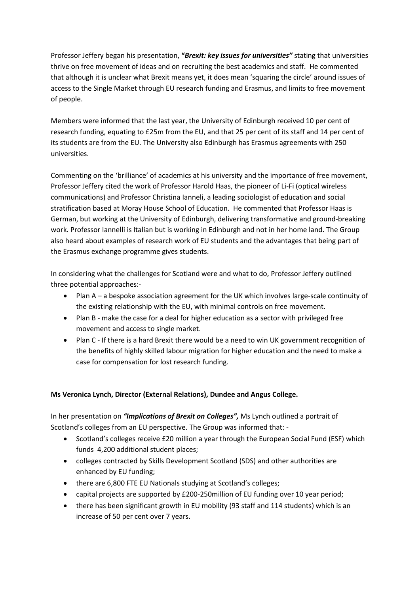Professor Jeffery began his presentation, **"***Brexit: key issues for universities"* stating that universities thrive on free movement of ideas and on recruiting the best academics and staff. He commented that although it is unclear what Brexit means yet, it does mean 'squaring the circle' around issues of access to the Single Market through EU research funding and Erasmus, and limits to free movement of people.

Members were informed that the last year, the University of Edinburgh received 10 per cent of research funding, equating to £25m from the EU, and that 25 per cent of its staff and 14 per cent of its students are from the EU. The University also Edinburgh has Erasmus agreements with 250 universities.

Commenting on the 'brilliance' of academics at his university and the importance of free movement, Professor Jeffery cited the work of Professor Harold Haas, the pioneer of Li-Fi (optical wireless communications) and Professor Christina Ianneli, a leading sociologist of education and social stratification based at Moray House School of Education. He commented that Professor Haas is German, but working at the University of Edinburgh, delivering transformative and ground-breaking work. Professor Iannelli is Italian but is working in Edinburgh and not in her home land. The Group also heard about examples of research work of EU students and the advantages that being part of the Erasmus exchange programme gives students.

In considering what the challenges for Scotland were and what to do, Professor Jeffery outlined three potential approaches:-

- Plan A a bespoke association agreement for the UK which involves large-scale continuity of the existing relationship with the EU, with minimal controls on free movement.
- Plan B make the case for a deal for higher education as a sector with privileged free movement and access to single market.
- Plan C If there is a hard Brexit there would be a need to win UK government recognition of the benefits of highly skilled labour migration for higher education and the need to make a case for compensation for lost research funding.

## **Ms Veronica Lynch, Director (External Relations), Dundee and Angus College.**

In her presentation on *"Implications of Brexit on Colleges",* Ms Lynch outlined a portrait of Scotland's colleges from an EU perspective. The Group was informed that: -

- Scotland's colleges receive £20 million a year through the European Social Fund (ESF) which funds 4,200 additional student places;
- colleges contracted by Skills Development Scotland (SDS) and other authorities are enhanced by EU funding;
- there are 6,800 FTE EU Nationals studying at Scotland's colleges;
- capital projects are supported by £200-250million of EU funding over 10 year period;
- there has been significant growth in EU mobility (93 staff and 114 students) which is an increase of 50 per cent over 7 years.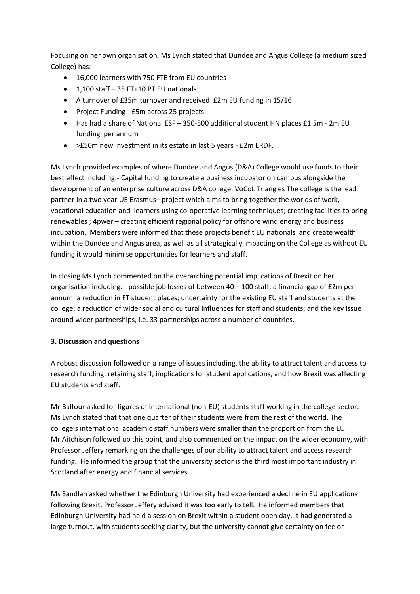Focusing on her own organisation, Ms Lynch stated that Dundee and Angus College (a medium sized College) has:-

- 16,000 learners with 750 FTE from EU countries
- $-1,100$  staff  $-35$  FT+10 PT EU nationals
- A turnover of £35m turnover and received £2m EU funding in 15/16
- Project Funding £5m across 25 projects
- Has had a share of National ESF 350-500 additional student HN places £1.5m 2m EU funding per annum
- >£50m new investment in its estate in last 5 years £2m ERDF.

Ms Lynch provided examples of where Dundee and Angus (D&A) College would use funds to their best effect including:- Capital funding to create a business incubator on campus alongside the development of an enterprise culture across D&A college; VoCoL Triangles The college is the lead partner in a two year UE Erasmus+ project which aims to bring together the worlds of work, vocational education and learners using co-operative learning techniques; creating facilities to bring renewables ; 4pwer – creating efficient regional policy for offshore wind energy and business incubation. Members were informed that these projects benefit EU nationals and create wealth within the Dundee and Angus area, as well as all strategically impacting on the College as without EU funding it would minimise opportunities for learners and staff.

In closing Ms Lynch commented on the overarching potential implications of Brexit on her organisation including: - possible job losses of between 40 – 100 staff; a financial gap of £2m per annum; a reduction in FT student places; uncertainty for the existing EU staff and students at the college; a reduction of wider social and cultural influences for staff and students; and the key issue around wider partnerships, i.e. 33 partnerships across a number of countries.

## **3. Discussion and questions**

A robust discussion followed on a range of issues including, the ability to attract talent and access to research funding; retaining staff; implications for student applications, and how Brexit was affecting EU students and staff.

Mr Balfour asked for figures of international (non-EU) students staff working in the college sector. Ms Lynch stated that that one quarter of their students were from the rest of the world. The college's international academic staff numbers were smaller than the proportion from the EU. Mr Aitchison followed up this point, and also commented on the impact on the wider economy, with Professor Jeffery remarking on the challenges of our ability to attract talent and access research funding. He informed the group that the university sector is the third most important industry in Scotland after energy and financial services.

Ms Sandlan asked whether the Edinburgh University had experienced a decline in EU applications following Brexit. Professor Jeffery advised it was too early to tell. He informed members that Edinburgh University had held a session on Brexit within a student open day. It had generated a large turnout, with students seeking clarity, but the university cannot give certainty on fee or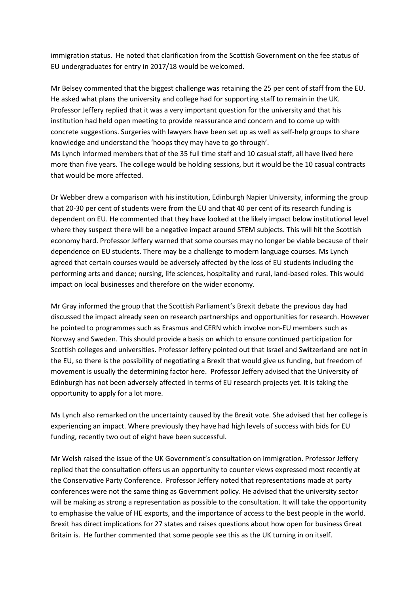immigration status. He noted that clarification from the Scottish Government on the fee status of EU undergraduates for entry in 2017/18 would be welcomed.

Mr Belsey commented that the biggest challenge was retaining the 25 per cent of staff from the EU. He asked what plans the university and college had for supporting staff to remain in the UK. Professor Jeffery replied that it was a very important question for the university and that his institution had held open meeting to provide reassurance and concern and to come up with concrete suggestions. Surgeries with lawyers have been set up as well as self-help groups to share knowledge and understand the 'hoops they may have to go through'. Ms Lynch informed members that of the 35 full time staff and 10 casual staff, all have lived here more than five years. The college would be holding sessions, but it would be the 10 casual contracts that would be more affected.

Dr Webber drew a comparison with his institution, Edinburgh Napier University, informing the group that 20-30 per cent of students were from the EU and that 40 per cent of its research funding is dependent on EU. He commented that they have looked at the likely impact below institutional level where they suspect there will be a negative impact around STEM subjects. This will hit the Scottish economy hard. Professor Jeffery warned that some courses may no longer be viable because of their dependence on EU students. There may be a challenge to modern language courses. Ms Lynch agreed that certain courses would be adversely affected by the loss of EU students including the performing arts and dance; nursing, life sciences, hospitality and rural, land-based roles. This would impact on local businesses and therefore on the wider economy.

Mr Gray informed the group that the Scottish Parliament's Brexit debate the previous day had discussed the impact already seen on research partnerships and opportunities for research. However he pointed to programmes such as Erasmus and CERN which involve non-EU members such as Norway and Sweden. This should provide a basis on which to ensure continued participation for Scottish colleges and universities. Professor Jeffery pointed out that Israel and Switzerland are not in the EU, so there is the possibility of negotiating a Brexit that would give us funding, but freedom of movement is usually the determining factor here. Professor Jeffery advised that the University of Edinburgh has not been adversely affected in terms of EU research projects yet. It is taking the opportunity to apply for a lot more.

Ms Lynch also remarked on the uncertainty caused by the Brexit vote. She advised that her college is experiencing an impact. Where previously they have had high levels of success with bids for EU funding, recently two out of eight have been successful.

Mr Welsh raised the issue of the UK Government's consultation on immigration. Professor Jeffery replied that the consultation offers us an opportunity to counter views expressed most recently at the Conservative Party Conference. Professor Jeffery noted that representations made at party conferences were not the same thing as Government policy. He advised that the university sector will be making as strong a representation as possible to the consultation. It will take the opportunity to emphasise the value of HE exports, and the importance of access to the best people in the world. Brexit has direct implications for 27 states and raises questions about how open for business Great Britain is. He further commented that some people see this as the UK turning in on itself.